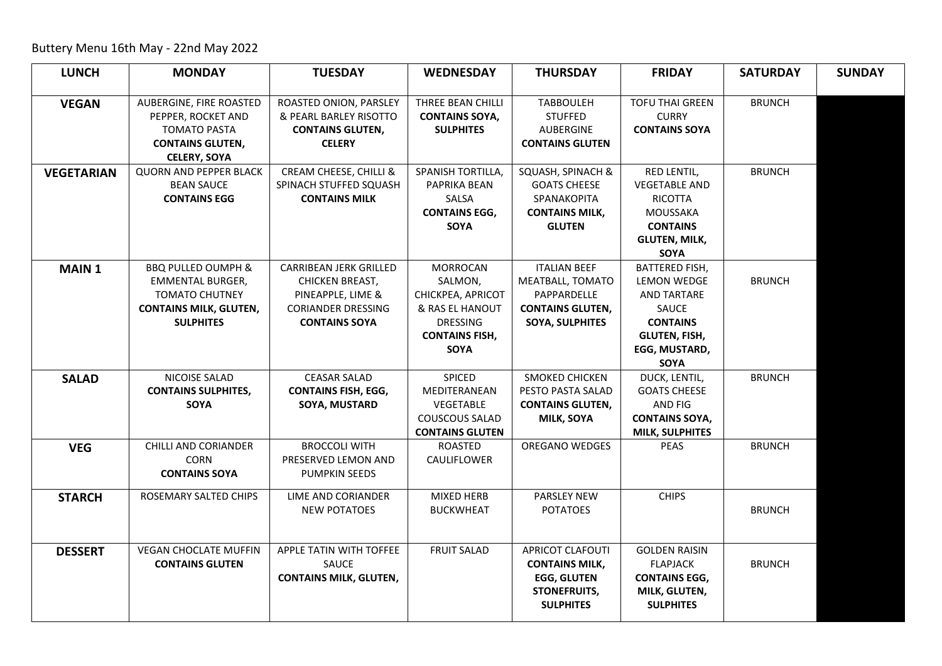Buttery Menu 16th May - 22nd May 2022

| <b>LUNCH</b>      | <b>MONDAY</b>                                        | <b>TUESDAY</b>                                 | <b>WEDNESDAY</b>             | <b>THURSDAY</b>                           | <b>FRIDAY</b>                           | <b>SATURDAY</b> | <b>SUNDAY</b> |
|-------------------|------------------------------------------------------|------------------------------------------------|------------------------------|-------------------------------------------|-----------------------------------------|-----------------|---------------|
|                   |                                                      |                                                |                              |                                           |                                         |                 |               |
| <b>VEGAN</b>      | AUBERGINE, FIRE ROASTED                              | ROASTED ONION, PARSLEY                         | THREE BEAN CHILLI            | <b>TABBOULEH</b>                          | <b>TOFU THAI GREEN</b>                  | <b>BRUNCH</b>   |               |
|                   | PEPPER, ROCKET AND                                   | & PEARL BARLEY RISOTTO                         | <b>CONTAINS SOYA,</b>        | <b>STUFFED</b>                            | <b>CURRY</b>                            |                 |               |
|                   | <b>TOMATO PASTA</b>                                  | <b>CONTAINS GLUTEN,</b>                        | <b>SULPHITES</b>             | AUBERGINE                                 | <b>CONTAINS SOYA</b>                    |                 |               |
|                   | <b>CONTAINS GLUTEN,</b>                              | <b>CELERY</b>                                  |                              | <b>CONTAINS GLUTEN</b>                    |                                         |                 |               |
|                   | <b>CELERY, SOYA</b><br><b>QUORN AND PEPPER BLACK</b> |                                                | SPANISH TORTILLA,            |                                           |                                         |                 |               |
| <b>VEGETARIAN</b> |                                                      | CREAM CHEESE, CHILLI &                         |                              | SQUASH, SPINACH &                         | RED LENTIL,                             | <b>BRUNCH</b>   |               |
|                   | <b>BEAN SAUCE</b><br><b>CONTAINS EGG</b>             | SPINACH STUFFED SQUASH<br><b>CONTAINS MILK</b> | PAPRIKA BEAN                 | <b>GOATS CHEESE</b><br>SPANAKOPITA        | <b>VEGETABLE AND</b><br><b>RICOTTA</b>  |                 |               |
|                   |                                                      |                                                | SALSA                        |                                           | <b>MOUSSAKA</b>                         |                 |               |
|                   |                                                      |                                                | <b>CONTAINS EGG,</b><br>SOYA | <b>CONTAINS MILK,</b><br><b>GLUTEN</b>    | <b>CONTAINS</b>                         |                 |               |
|                   |                                                      |                                                |                              |                                           | <b>GLUTEN, MILK,</b>                    |                 |               |
|                   |                                                      |                                                |                              |                                           | SOYA                                    |                 |               |
| <b>MAIN1</b>      | <b>BBQ PULLED OUMPH &amp;</b>                        | CARRIBEAN JERK GRILLED                         | <b>MORROCAN</b>              | <b>ITALIAN BEEF</b>                       | <b>BATTERED FISH,</b>                   |                 |               |
|                   | EMMENTAL BURGER,                                     | CHICKEN BREAST,                                | SALMON,                      | MEATBALL, TOMATO                          | LEMON WEDGE                             | <b>BRUNCH</b>   |               |
|                   | <b>TOMATO CHUTNEY</b>                                | PINEAPPLE, LIME &                              | CHICKPEA, APRICOT            | PAPPARDELLE                               | <b>AND TARTARE</b>                      |                 |               |
|                   | <b>CONTAINS MILK, GLUTEN,</b>                        | <b>CORIANDER DRESSING</b>                      | & RAS EL HANOUT              | <b>CONTAINS GLUTEN,</b>                   | SAUCE                                   |                 |               |
|                   | <b>SULPHITES</b>                                     | <b>CONTAINS SOYA</b>                           | <b>DRESSING</b>              | <b>SOYA, SULPHITES</b>                    | <b>CONTAINS</b>                         |                 |               |
|                   |                                                      |                                                | <b>CONTAINS FISH,</b>        |                                           | <b>GLUTEN, FISH,</b>                    |                 |               |
|                   |                                                      |                                                | <b>SOYA</b>                  |                                           | EGG, MUSTARD,                           |                 |               |
|                   |                                                      |                                                |                              |                                           | SOYA                                    |                 |               |
| <b>SALAD</b>      | NICOISE SALAD                                        | <b>CEASAR SALAD</b>                            | SPICED                       | SMOKED CHICKEN                            | DUCK, LENTIL,                           | <b>BRUNCH</b>   |               |
|                   | <b>CONTAINS SULPHITES,</b>                           | <b>CONTAINS FISH, EGG,</b>                     | MEDITERANEAN                 | PESTO PASTA SALAD                         | <b>GOATS CHEESE</b>                     |                 |               |
|                   | <b>SOYA</b>                                          | SOYA, MUSTARD                                  | VEGETABLE                    | <b>CONTAINS GLUTEN,</b>                   | AND FIG                                 |                 |               |
|                   |                                                      |                                                | <b>COUSCOUS SALAD</b>        | MILK, SOYA                                | <b>CONTAINS SOYA,</b>                   |                 |               |
|                   |                                                      |                                                | <b>CONTAINS GLUTEN</b>       |                                           | <b>MILK, SULPHITES</b>                  |                 |               |
| <b>VEG</b>        | CHILLI AND CORIANDER                                 | <b>BROCCOLI WITH</b>                           | ROASTED                      | OREGANO WEDGES                            | <b>PEAS</b>                             | <b>BRUNCH</b>   |               |
|                   | <b>CORN</b>                                          | PRESERVED LEMON AND                            | <b>CAULIFLOWER</b>           |                                           |                                         |                 |               |
|                   | <b>CONTAINS SOYA</b>                                 | <b>PUMPKIN SEEDS</b>                           |                              |                                           |                                         |                 |               |
| <b>STARCH</b>     | ROSEMARY SALTED CHIPS                                | LIME AND CORIANDER                             | MIXED HERB                   | PARSLEY NEW                               | <b>CHIPS</b>                            |                 |               |
|                   |                                                      | <b>NEW POTATOES</b>                            | <b>BUCKWHEAT</b>             | <b>POTATOES</b>                           |                                         | <b>BRUNCH</b>   |               |
|                   |                                                      |                                                |                              |                                           |                                         |                 |               |
|                   | <b>VEGAN CHOCLATE MUFFIN</b>                         |                                                | <b>FRUIT SALAD</b>           | <b>APRICOT CLAFOUTI</b>                   |                                         |                 |               |
| <b>DESSERT</b>    | <b>CONTAINS GLUTEN</b>                               | APPLE TATIN WITH TOFFEE<br>SAUCE               |                              | <b>CONTAINS MILK,</b>                     | <b>GOLDEN RAISIN</b><br><b>FLAPJACK</b> | <b>BRUNCH</b>   |               |
|                   |                                                      |                                                |                              |                                           |                                         |                 |               |
|                   |                                                      | <b>CONTAINS MILK, GLUTEN,</b>                  |                              | <b>EGG, GLUTEN</b><br><b>STONEFRUITS,</b> | <b>CONTAINS EGG,</b><br>MILK, GLUTEN,   |                 |               |
|                   |                                                      |                                                |                              | <b>SULPHITES</b>                          | <b>SULPHITES</b>                        |                 |               |
|                   |                                                      |                                                |                              |                                           |                                         |                 |               |